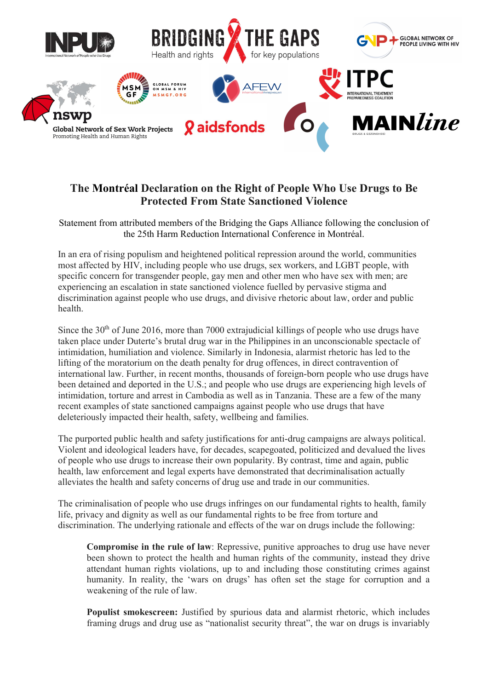

## The Montréal Declaration on the Right of People Who Use Drugs to Be Protected From State Sanctioned Violence

Statement from attributed members of the Bridging the Gaps Alliance following the conclusion of the 25th Harm Reduction International Conference in Montréal.

In an era of rising populism and heightened political repression around the world, communities most affected by HIV, including people who use drugs, sex workers, and LGBT people, with specific concern for transgender people, gay men and other men who have sex with men; are experiencing an escalation in state sanctioned violence fuelled by pervasive stigma and discrimination against people who use drugs, and divisive rhetoric about law, order and public health.

Since the  $30<sup>th</sup>$  of June 2016, more than 7000 extrajudicial killings of people who use drugs have taken place under Duterte's brutal drug war in the Philippines in an unconscionable spectacle of intimidation, humiliation and violence. Similarly in Indonesia, alarmist rhetoric has led to the lifting of the moratorium on the death penalty for drug offences, in direct contravention of international law. Further, in recent months, thousands of foreign-born people who use drugs have been detained and deported in the U.S.; and people who use drugs are experiencing high levels of intimidation, torture and arrest in Cambodia as well as in Tanzania. These are a few of the many recent examples of state sanctioned campaigns against people who use drugs that have deleteriously impacted their health, safety, wellbeing and families.

The purported public health and safety justifications for anti-drug campaigns are always political. Violent and ideological leaders have, for decades, scapegoated, politicized and devalued the lives of people who use drugs to increase their own popularity. By contrast, time and again, public health, law enforcement and legal experts have demonstrated that decriminalisation actually alleviates the health and safety concerns of drug use and trade in our communities.

The criminalisation of people who use drugs infringes on our fundamental rights to health, family life, privacy and dignity as well as our fundamental rights to be free from torture and discrimination. The underlying rationale and effects of the war on drugs include the following:

Compromise in the rule of law: Repressive, punitive approaches to drug use have never been shown to protect the health and human rights of the community, instead they drive attendant human rights violations, up to and including those constituting crimes against humanity. In reality, the 'wars on drugs' has often set the stage for corruption and a weakening of the rule of law.

Populist smokescreen: Justified by spurious data and alarmist rhetoric, which includes framing drugs and drug use as "nationalist security threat", the war on drugs is invariably